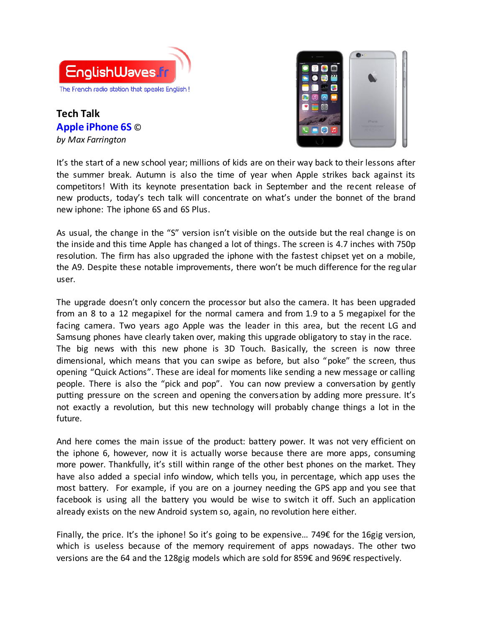

**Tech Talk Apple iPhone 6S** © *by Max Farrington*



It's the start of a new school year; millions of kids are on their way back to their lessons after the summer break. Autumn is also the time of year when Apple strikes back against its competitors! With its keynote presentation back in September and the recent release of new products, today's tech talk will concentrate on what's under the bonnet of the brand new iphone: The iphone 6S and 6S Plus.

As usual, the change in the "S" version isn't visible on the outside but the real change is on the inside and this time Apple has changed a lot of things. The screen is 4.7 inches with 750p resolution. The firm has also upgraded the iphone with the fastest chipset yet on a mobile, the A9. Despite these notable improvements, there won't be much difference for the regular user.

The upgrade doesn't only concern the processor but also the camera. It has been upgraded from an 8 to a 12 megapixel for the normal camera and from 1.9 to a 5 megapixel for the facing camera. Two years ago Apple was the leader in this area, but the recent LG and Samsung phones have clearly taken over, making this upgrade obligatory to stay in the race. The big news with this new phone is 3D Touch. Basically, the screen is now three dimensional, which means that you can swipe as before, but also "poke" the screen, thus opening "Quick Actions". These are ideal for moments like sending a new message or calling people. There is also the "pick and pop". You can now preview a conversation by gently putting pressure on the screen and opening the conversation by adding more pressure. It's not exactly a revolution, but this new technology will probably change things a lot in the future.

And here comes the main issue of the product: battery power. It was not very efficient on the iphone 6, however, now it is actually worse because there are more apps, consuming more power. Thankfully, it's still within range of the other best phones on the market. They have also added a special info window, which tells you, in percentage, which app uses the most battery. For example, if you are on a journey needing the GPS app and you see that facebook is using all the battery you would be wise to switch it off. Such an application already exists on the new Android system so, again, no revolution here either.

Finally, the price. It's the iphone! So it's going to be expensive… 749€ for the 16gig version, which is useless because of the memory requirement of apps nowadays. The other two versions are the 64 and the 128gig models which are sold for 859€ and 969€ respectively.